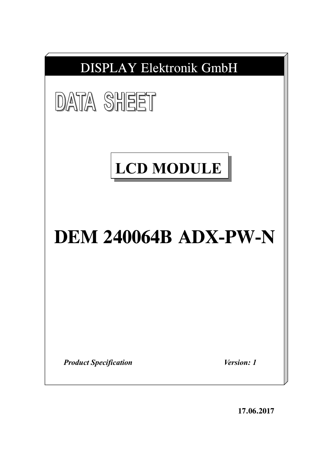

**17.06.2017**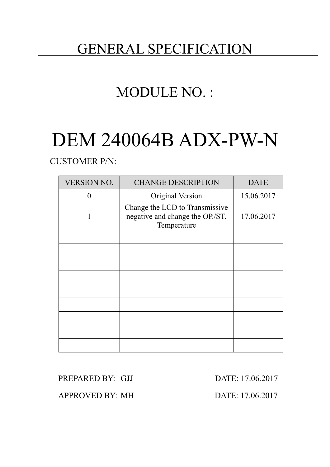## GENERAL SPECIFICATION

# MODULE NO. :

# DEM 240064B ADX-PW-N

CUSTOMER P/N:

| <b>VERSION NO.</b> | <b>CHANGE DESCRIPTION</b>                                                        | <b>DATE</b> |
|--------------------|----------------------------------------------------------------------------------|-------------|
| 0                  | Original Version                                                                 | 15.06.2017  |
|                    | Change the LCD to Transmissive<br>negative and change the OP./ST.<br>Temperature | 17.06.2017  |
|                    |                                                                                  |             |
|                    |                                                                                  |             |
|                    |                                                                                  |             |
|                    |                                                                                  |             |
|                    |                                                                                  |             |
|                    |                                                                                  |             |
|                    |                                                                                  |             |
|                    |                                                                                  |             |
|                    |                                                                                  |             |

PREPARED BY: GJJ DATE: 17.06.2017

APPROVED BY: MH DATE: 17.06.2017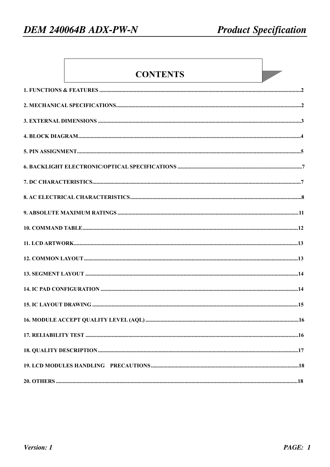### **CONTENTS**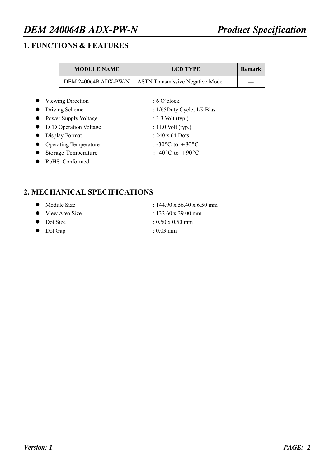#### **1. FUNCTIONS & FEATURES**

| <b>MODULE NAME</b>           | <b>LCD TYPE</b>                        | <b>Remark</b> |
|------------------------------|----------------------------------------|---------------|
| DEM 240064B ADX-PW-N         | <b>ASTN Transmissive Negative Mode</b> |               |
|                              |                                        |               |
| Viewing Direction            | $:6$ O'clock                           |               |
| Driving Scheme               | : $1/65$ Duty Cycle, $1/9$ Bias        |               |
| Power Supply Voltage         | : $3.3$ Volt (typ.)                    |               |
| <b>LCD</b> Operation Voltage | : 11.0 Volt $(typ.)$                   |               |
| Display Format               | $\cdot$ 240 x 64 Dots                  |               |
| <b>Operating Temperature</b> | : -30 $^{\circ}$ C to +80 $^{\circ}$ C |               |
| <b>Storage Temperature</b>   | : -40 $^{\circ}$ C to +90 $^{\circ}$ C |               |
| RoHS Conformed               |                                        |               |

#### **2. MECHANICAL SPECIFICATIONS**

| Module Size | : $144.90 \times 56.40 \times 6.50 \text{ mm}$ |
|-------------|------------------------------------------------|
|-------------|------------------------------------------------|

- View Area Size : 132.60 x 39.00 mm
- 
- l Dot Gap : 0.03 mm
- 
- 
- Dot Size  $: 0.50 \times 0.50$  mm
	-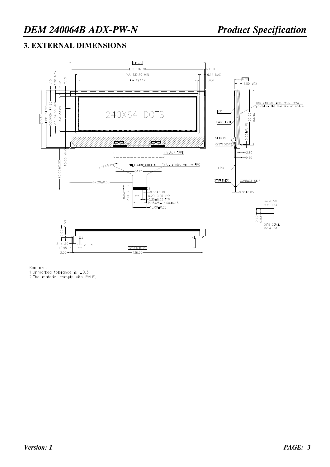#### **3. EXTERNAL DIMENSIONS**



Remarks: 1.Unmarked tolerance is  $\pm 0.3$ , 2. The material comply with RoHS,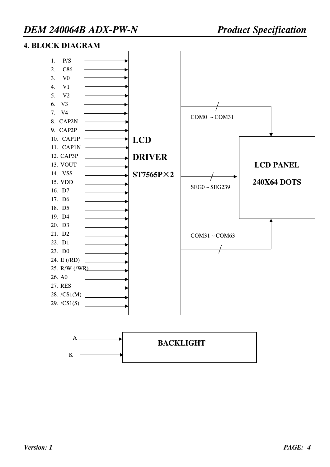#### **4. BLOCK DIAGRAM**

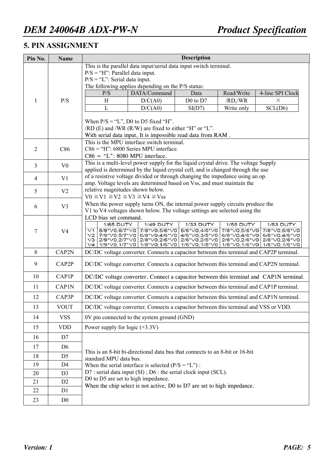#### **5. PIN ASSIGNMENT**

| This is the parallel data input/serial data input switch terminal.<br>$P/S = "H"$ : Parallel data input.<br>$P/S = "L"$ : Serial data input.<br>The following applies depending on the P/S status:<br>P/S<br>DATA/Command<br>Read/Write<br>4-line SPI Clock<br>Data<br>P/S<br>H<br>D/C(A0)<br>$D0$ to $D7$<br>/RD, /WR<br>1<br>$\times$<br>L<br>D/C(A0)<br>SI(D7)<br>Write only<br>SCL(D6)<br>When $P/S = "L", D0$ to D5 fixed "H".<br>$/RD$ (E) and $/WR$ (R/W) are fixed to either "H" or "L".<br>With serial data input, It is impossible read data from RAM.<br>This is the MPU interface switch terminal.<br>$C86 = "H"$ : 6800 Series MPU interface.<br>$\overline{2}$<br>C86<br>$C86 = "L": 8080 MPU$ interface.<br>This is a multi-level power supply for the liquid crystal drive. The voltage Supply<br>3<br>V <sub>0</sub><br>applied is determined by the liquid crystal cell, and is changed through the use<br>of a resistive voltage divided or through changing the impedance using an op.<br>V <sub>1</sub><br>$\overline{4}$<br>amp. Voltage levels are determined based on Vss, and must maintain the<br>relative magnitudes shown below.<br>5<br>V <sub>2</sub><br>$V0 \geq V1 \geq V2 \geq V3 \geq V4 \geq V$ ss<br>When the power supply turns ON, the internal power supply circuits produce the<br>6<br>V <sub>3</sub><br>V1 to V4 voltages shown below. The voltage settings are selected using the<br>LCD bias set command.<br>1/65 DUTY<br>1/33 DUTY<br>1/49 DUTY<br>1/55 DUTY<br>1/53 DUTY<br>7/8*V0,5/6*V0 5/6*V0,4/5*V0<br>8/9*V0,6/7*V0<br>7/8*V0,5/6*V0<br>7/8*V0,5/6*V0<br>V1<br>7<br>V <sub>4</sub><br>V2 7/9*V0,5/7*V0 6/8*V0,4/6*V0 4/6*V0,3/5*V0<br>6/8*V0,4/6*V0<br>6/8*V0,4/6*V0<br>V3 2/9*V0,2/7*V0 2/8*V0,2/6*V0 2/6*V0,2/5*V0 2/8*V0,2/6*V0<br>2/8*V0,2/6*V0<br>V4   1/9*V0,1/7*V0   1/8*V0,1/6*V0   1/6*V0,1/5*V0   1/8*V0,1/6*V0  <br>1/8*V0,1/6*V0<br>8<br>CAP2N<br>DC/DC voltage converter. Connects a capacitor between this terminal and CAP2P terminal.<br>9<br>CAP2P<br>DC/DC voltage converter. Connects a capacitor between this terminal and CAP2N terminal.<br>10<br>CAP1P<br>DC/DC voltage converter. Connect a capacitor between this terminal and CAP1N terminal.<br>11<br>CAP1N<br>DC/DC voltage converter. Connects a capacitor between this terminal and CAP1P terminal.<br>12<br>CAP3P<br>DC/DC voltage converter. Connects a capacitor between this terminal and CAP1N terminal.<br><b>VOUT</b><br>DC/DC voltage converter. Connects a capacitor between this terminal and VSS or VDD.<br>13<br>0V pin connected to the system ground (GND)<br>14<br><b>VSS</b><br><b>VDD</b><br>Power supply for logic $(+3.3V)$<br>15<br>16<br>D7<br>17<br>D <sub>6</sub><br>This is an 8-bit bi-directional data bus that connects to an 8-bit or 16-bit | Pin No. | <b>Name</b>    |  |  | <b>Description</b> |  |  |  |  |  |  |
|-----------------------------------------------------------------------------------------------------------------------------------------------------------------------------------------------------------------------------------------------------------------------------------------------------------------------------------------------------------------------------------------------------------------------------------------------------------------------------------------------------------------------------------------------------------------------------------------------------------------------------------------------------------------------------------------------------------------------------------------------------------------------------------------------------------------------------------------------------------------------------------------------------------------------------------------------------------------------------------------------------------------------------------------------------------------------------------------------------------------------------------------------------------------------------------------------------------------------------------------------------------------------------------------------------------------------------------------------------------------------------------------------------------------------------------------------------------------------------------------------------------------------------------------------------------------------------------------------------------------------------------------------------------------------------------------------------------------------------------------------------------------------------------------------------------------------------------------------------------------------------------------------------------------------------------------------------------------------------------------------------------------------------------------------------------------------------------------------------------------------------------------------------------------------------------------------------------------------------------------------------------------------------------------------------------------------------------------------------------------------------------------------------------------------------------------------------------------------------------------------------------------------------------------------------------------------------------------------------------------------------------------------------------------------------------------------------------------------------------------------------------------------------------------------------------|---------|----------------|--|--|--------------------|--|--|--|--|--|--|
|                                                                                                                                                                                                                                                                                                                                                                                                                                                                                                                                                                                                                                                                                                                                                                                                                                                                                                                                                                                                                                                                                                                                                                                                                                                                                                                                                                                                                                                                                                                                                                                                                                                                                                                                                                                                                                                                                                                                                                                                                                                                                                                                                                                                                                                                                                                                                                                                                                                                                                                                                                                                                                                                                                                                                                                                           |         |                |  |  |                    |  |  |  |  |  |  |
|                                                                                                                                                                                                                                                                                                                                                                                                                                                                                                                                                                                                                                                                                                                                                                                                                                                                                                                                                                                                                                                                                                                                                                                                                                                                                                                                                                                                                                                                                                                                                                                                                                                                                                                                                                                                                                                                                                                                                                                                                                                                                                                                                                                                                                                                                                                                                                                                                                                                                                                                                                                                                                                                                                                                                                                                           |         |                |  |  |                    |  |  |  |  |  |  |
|                                                                                                                                                                                                                                                                                                                                                                                                                                                                                                                                                                                                                                                                                                                                                                                                                                                                                                                                                                                                                                                                                                                                                                                                                                                                                                                                                                                                                                                                                                                                                                                                                                                                                                                                                                                                                                                                                                                                                                                                                                                                                                                                                                                                                                                                                                                                                                                                                                                                                                                                                                                                                                                                                                                                                                                                           |         |                |  |  |                    |  |  |  |  |  |  |
|                                                                                                                                                                                                                                                                                                                                                                                                                                                                                                                                                                                                                                                                                                                                                                                                                                                                                                                                                                                                                                                                                                                                                                                                                                                                                                                                                                                                                                                                                                                                                                                                                                                                                                                                                                                                                                                                                                                                                                                                                                                                                                                                                                                                                                                                                                                                                                                                                                                                                                                                                                                                                                                                                                                                                                                                           |         |                |  |  |                    |  |  |  |  |  |  |
|                                                                                                                                                                                                                                                                                                                                                                                                                                                                                                                                                                                                                                                                                                                                                                                                                                                                                                                                                                                                                                                                                                                                                                                                                                                                                                                                                                                                                                                                                                                                                                                                                                                                                                                                                                                                                                                                                                                                                                                                                                                                                                                                                                                                                                                                                                                                                                                                                                                                                                                                                                                                                                                                                                                                                                                                           |         |                |  |  |                    |  |  |  |  |  |  |
|                                                                                                                                                                                                                                                                                                                                                                                                                                                                                                                                                                                                                                                                                                                                                                                                                                                                                                                                                                                                                                                                                                                                                                                                                                                                                                                                                                                                                                                                                                                                                                                                                                                                                                                                                                                                                                                                                                                                                                                                                                                                                                                                                                                                                                                                                                                                                                                                                                                                                                                                                                                                                                                                                                                                                                                                           |         |                |  |  |                    |  |  |  |  |  |  |
|                                                                                                                                                                                                                                                                                                                                                                                                                                                                                                                                                                                                                                                                                                                                                                                                                                                                                                                                                                                                                                                                                                                                                                                                                                                                                                                                                                                                                                                                                                                                                                                                                                                                                                                                                                                                                                                                                                                                                                                                                                                                                                                                                                                                                                                                                                                                                                                                                                                                                                                                                                                                                                                                                                                                                                                                           |         |                |  |  |                    |  |  |  |  |  |  |
|                                                                                                                                                                                                                                                                                                                                                                                                                                                                                                                                                                                                                                                                                                                                                                                                                                                                                                                                                                                                                                                                                                                                                                                                                                                                                                                                                                                                                                                                                                                                                                                                                                                                                                                                                                                                                                                                                                                                                                                                                                                                                                                                                                                                                                                                                                                                                                                                                                                                                                                                                                                                                                                                                                                                                                                                           |         |                |  |  |                    |  |  |  |  |  |  |
|                                                                                                                                                                                                                                                                                                                                                                                                                                                                                                                                                                                                                                                                                                                                                                                                                                                                                                                                                                                                                                                                                                                                                                                                                                                                                                                                                                                                                                                                                                                                                                                                                                                                                                                                                                                                                                                                                                                                                                                                                                                                                                                                                                                                                                                                                                                                                                                                                                                                                                                                                                                                                                                                                                                                                                                                           |         |                |  |  |                    |  |  |  |  |  |  |
|                                                                                                                                                                                                                                                                                                                                                                                                                                                                                                                                                                                                                                                                                                                                                                                                                                                                                                                                                                                                                                                                                                                                                                                                                                                                                                                                                                                                                                                                                                                                                                                                                                                                                                                                                                                                                                                                                                                                                                                                                                                                                                                                                                                                                                                                                                                                                                                                                                                                                                                                                                                                                                                                                                                                                                                                           |         |                |  |  |                    |  |  |  |  |  |  |
|                                                                                                                                                                                                                                                                                                                                                                                                                                                                                                                                                                                                                                                                                                                                                                                                                                                                                                                                                                                                                                                                                                                                                                                                                                                                                                                                                                                                                                                                                                                                                                                                                                                                                                                                                                                                                                                                                                                                                                                                                                                                                                                                                                                                                                                                                                                                                                                                                                                                                                                                                                                                                                                                                                                                                                                                           |         |                |  |  |                    |  |  |  |  |  |  |
|                                                                                                                                                                                                                                                                                                                                                                                                                                                                                                                                                                                                                                                                                                                                                                                                                                                                                                                                                                                                                                                                                                                                                                                                                                                                                                                                                                                                                                                                                                                                                                                                                                                                                                                                                                                                                                                                                                                                                                                                                                                                                                                                                                                                                                                                                                                                                                                                                                                                                                                                                                                                                                                                                                                                                                                                           |         |                |  |  |                    |  |  |  |  |  |  |
|                                                                                                                                                                                                                                                                                                                                                                                                                                                                                                                                                                                                                                                                                                                                                                                                                                                                                                                                                                                                                                                                                                                                                                                                                                                                                                                                                                                                                                                                                                                                                                                                                                                                                                                                                                                                                                                                                                                                                                                                                                                                                                                                                                                                                                                                                                                                                                                                                                                                                                                                                                                                                                                                                                                                                                                                           |         |                |  |  |                    |  |  |  |  |  |  |
|                                                                                                                                                                                                                                                                                                                                                                                                                                                                                                                                                                                                                                                                                                                                                                                                                                                                                                                                                                                                                                                                                                                                                                                                                                                                                                                                                                                                                                                                                                                                                                                                                                                                                                                                                                                                                                                                                                                                                                                                                                                                                                                                                                                                                                                                                                                                                                                                                                                                                                                                                                                                                                                                                                                                                                                                           |         |                |  |  |                    |  |  |  |  |  |  |
|                                                                                                                                                                                                                                                                                                                                                                                                                                                                                                                                                                                                                                                                                                                                                                                                                                                                                                                                                                                                                                                                                                                                                                                                                                                                                                                                                                                                                                                                                                                                                                                                                                                                                                                                                                                                                                                                                                                                                                                                                                                                                                                                                                                                                                                                                                                                                                                                                                                                                                                                                                                                                                                                                                                                                                                                           |         |                |  |  |                    |  |  |  |  |  |  |
|                                                                                                                                                                                                                                                                                                                                                                                                                                                                                                                                                                                                                                                                                                                                                                                                                                                                                                                                                                                                                                                                                                                                                                                                                                                                                                                                                                                                                                                                                                                                                                                                                                                                                                                                                                                                                                                                                                                                                                                                                                                                                                                                                                                                                                                                                                                                                                                                                                                                                                                                                                                                                                                                                                                                                                                                           |         |                |  |  |                    |  |  |  |  |  |  |
|                                                                                                                                                                                                                                                                                                                                                                                                                                                                                                                                                                                                                                                                                                                                                                                                                                                                                                                                                                                                                                                                                                                                                                                                                                                                                                                                                                                                                                                                                                                                                                                                                                                                                                                                                                                                                                                                                                                                                                                                                                                                                                                                                                                                                                                                                                                                                                                                                                                                                                                                                                                                                                                                                                                                                                                                           |         |                |  |  |                    |  |  |  |  |  |  |
|                                                                                                                                                                                                                                                                                                                                                                                                                                                                                                                                                                                                                                                                                                                                                                                                                                                                                                                                                                                                                                                                                                                                                                                                                                                                                                                                                                                                                                                                                                                                                                                                                                                                                                                                                                                                                                                                                                                                                                                                                                                                                                                                                                                                                                                                                                                                                                                                                                                                                                                                                                                                                                                                                                                                                                                                           |         |                |  |  |                    |  |  |  |  |  |  |
|                                                                                                                                                                                                                                                                                                                                                                                                                                                                                                                                                                                                                                                                                                                                                                                                                                                                                                                                                                                                                                                                                                                                                                                                                                                                                                                                                                                                                                                                                                                                                                                                                                                                                                                                                                                                                                                                                                                                                                                                                                                                                                                                                                                                                                                                                                                                                                                                                                                                                                                                                                                                                                                                                                                                                                                                           |         |                |  |  |                    |  |  |  |  |  |  |
|                                                                                                                                                                                                                                                                                                                                                                                                                                                                                                                                                                                                                                                                                                                                                                                                                                                                                                                                                                                                                                                                                                                                                                                                                                                                                                                                                                                                                                                                                                                                                                                                                                                                                                                                                                                                                                                                                                                                                                                                                                                                                                                                                                                                                                                                                                                                                                                                                                                                                                                                                                                                                                                                                                                                                                                                           |         |                |  |  |                    |  |  |  |  |  |  |
|                                                                                                                                                                                                                                                                                                                                                                                                                                                                                                                                                                                                                                                                                                                                                                                                                                                                                                                                                                                                                                                                                                                                                                                                                                                                                                                                                                                                                                                                                                                                                                                                                                                                                                                                                                                                                                                                                                                                                                                                                                                                                                                                                                                                                                                                                                                                                                                                                                                                                                                                                                                                                                                                                                                                                                                                           |         |                |  |  |                    |  |  |  |  |  |  |
|                                                                                                                                                                                                                                                                                                                                                                                                                                                                                                                                                                                                                                                                                                                                                                                                                                                                                                                                                                                                                                                                                                                                                                                                                                                                                                                                                                                                                                                                                                                                                                                                                                                                                                                                                                                                                                                                                                                                                                                                                                                                                                                                                                                                                                                                                                                                                                                                                                                                                                                                                                                                                                                                                                                                                                                                           |         |                |  |  |                    |  |  |  |  |  |  |
|                                                                                                                                                                                                                                                                                                                                                                                                                                                                                                                                                                                                                                                                                                                                                                                                                                                                                                                                                                                                                                                                                                                                                                                                                                                                                                                                                                                                                                                                                                                                                                                                                                                                                                                                                                                                                                                                                                                                                                                                                                                                                                                                                                                                                                                                                                                                                                                                                                                                                                                                                                                                                                                                                                                                                                                                           |         |                |  |  |                    |  |  |  |  |  |  |
|                                                                                                                                                                                                                                                                                                                                                                                                                                                                                                                                                                                                                                                                                                                                                                                                                                                                                                                                                                                                                                                                                                                                                                                                                                                                                                                                                                                                                                                                                                                                                                                                                                                                                                                                                                                                                                                                                                                                                                                                                                                                                                                                                                                                                                                                                                                                                                                                                                                                                                                                                                                                                                                                                                                                                                                                           |         |                |  |  |                    |  |  |  |  |  |  |
|                                                                                                                                                                                                                                                                                                                                                                                                                                                                                                                                                                                                                                                                                                                                                                                                                                                                                                                                                                                                                                                                                                                                                                                                                                                                                                                                                                                                                                                                                                                                                                                                                                                                                                                                                                                                                                                                                                                                                                                                                                                                                                                                                                                                                                                                                                                                                                                                                                                                                                                                                                                                                                                                                                                                                                                                           |         |                |  |  |                    |  |  |  |  |  |  |
|                                                                                                                                                                                                                                                                                                                                                                                                                                                                                                                                                                                                                                                                                                                                                                                                                                                                                                                                                                                                                                                                                                                                                                                                                                                                                                                                                                                                                                                                                                                                                                                                                                                                                                                                                                                                                                                                                                                                                                                                                                                                                                                                                                                                                                                                                                                                                                                                                                                                                                                                                                                                                                                                                                                                                                                                           |         |                |  |  |                    |  |  |  |  |  |  |
|                                                                                                                                                                                                                                                                                                                                                                                                                                                                                                                                                                                                                                                                                                                                                                                                                                                                                                                                                                                                                                                                                                                                                                                                                                                                                                                                                                                                                                                                                                                                                                                                                                                                                                                                                                                                                                                                                                                                                                                                                                                                                                                                                                                                                                                                                                                                                                                                                                                                                                                                                                                                                                                                                                                                                                                                           |         |                |  |  |                    |  |  |  |  |  |  |
|                                                                                                                                                                                                                                                                                                                                                                                                                                                                                                                                                                                                                                                                                                                                                                                                                                                                                                                                                                                                                                                                                                                                                                                                                                                                                                                                                                                                                                                                                                                                                                                                                                                                                                                                                                                                                                                                                                                                                                                                                                                                                                                                                                                                                                                                                                                                                                                                                                                                                                                                                                                                                                                                                                                                                                                                           |         |                |  |  |                    |  |  |  |  |  |  |
|                                                                                                                                                                                                                                                                                                                                                                                                                                                                                                                                                                                                                                                                                                                                                                                                                                                                                                                                                                                                                                                                                                                                                                                                                                                                                                                                                                                                                                                                                                                                                                                                                                                                                                                                                                                                                                                                                                                                                                                                                                                                                                                                                                                                                                                                                                                                                                                                                                                                                                                                                                                                                                                                                                                                                                                                           |         |                |  |  |                    |  |  |  |  |  |  |
|                                                                                                                                                                                                                                                                                                                                                                                                                                                                                                                                                                                                                                                                                                                                                                                                                                                                                                                                                                                                                                                                                                                                                                                                                                                                                                                                                                                                                                                                                                                                                                                                                                                                                                                                                                                                                                                                                                                                                                                                                                                                                                                                                                                                                                                                                                                                                                                                                                                                                                                                                                                                                                                                                                                                                                                                           |         |                |  |  |                    |  |  |  |  |  |  |
|                                                                                                                                                                                                                                                                                                                                                                                                                                                                                                                                                                                                                                                                                                                                                                                                                                                                                                                                                                                                                                                                                                                                                                                                                                                                                                                                                                                                                                                                                                                                                                                                                                                                                                                                                                                                                                                                                                                                                                                                                                                                                                                                                                                                                                                                                                                                                                                                                                                                                                                                                                                                                                                                                                                                                                                                           |         |                |  |  |                    |  |  |  |  |  |  |
|                                                                                                                                                                                                                                                                                                                                                                                                                                                                                                                                                                                                                                                                                                                                                                                                                                                                                                                                                                                                                                                                                                                                                                                                                                                                                                                                                                                                                                                                                                                                                                                                                                                                                                                                                                                                                                                                                                                                                                                                                                                                                                                                                                                                                                                                                                                                                                                                                                                                                                                                                                                                                                                                                                                                                                                                           |         |                |  |  |                    |  |  |  |  |  |  |
|                                                                                                                                                                                                                                                                                                                                                                                                                                                                                                                                                                                                                                                                                                                                                                                                                                                                                                                                                                                                                                                                                                                                                                                                                                                                                                                                                                                                                                                                                                                                                                                                                                                                                                                                                                                                                                                                                                                                                                                                                                                                                                                                                                                                                                                                                                                                                                                                                                                                                                                                                                                                                                                                                                                                                                                                           |         |                |  |  |                    |  |  |  |  |  |  |
|                                                                                                                                                                                                                                                                                                                                                                                                                                                                                                                                                                                                                                                                                                                                                                                                                                                                                                                                                                                                                                                                                                                                                                                                                                                                                                                                                                                                                                                                                                                                                                                                                                                                                                                                                                                                                                                                                                                                                                                                                                                                                                                                                                                                                                                                                                                                                                                                                                                                                                                                                                                                                                                                                                                                                                                                           |         |                |  |  |                    |  |  |  |  |  |  |
| standard MPU data bus.                                                                                                                                                                                                                                                                                                                                                                                                                                                                                                                                                                                                                                                                                                                                                                                                                                                                                                                                                                                                                                                                                                                                                                                                                                                                                                                                                                                                                                                                                                                                                                                                                                                                                                                                                                                                                                                                                                                                                                                                                                                                                                                                                                                                                                                                                                                                                                                                                                                                                                                                                                                                                                                                                                                                                                                    | 18      | D <sub>5</sub> |  |  |                    |  |  |  |  |  |  |
| 19<br>D <sub>4</sub><br>When the serial interface is selected $(P/S = "L")$ :                                                                                                                                                                                                                                                                                                                                                                                                                                                                                                                                                                                                                                                                                                                                                                                                                                                                                                                                                                                                                                                                                                                                                                                                                                                                                                                                                                                                                                                                                                                                                                                                                                                                                                                                                                                                                                                                                                                                                                                                                                                                                                                                                                                                                                                                                                                                                                                                                                                                                                                                                                                                                                                                                                                             |         |                |  |  |                    |  |  |  |  |  |  |
| D7 : serial data input (SI) ; D6 : the serial clock input (SCL).<br>20<br>D <sub>3</sub>                                                                                                                                                                                                                                                                                                                                                                                                                                                                                                                                                                                                                                                                                                                                                                                                                                                                                                                                                                                                                                                                                                                                                                                                                                                                                                                                                                                                                                                                                                                                                                                                                                                                                                                                                                                                                                                                                                                                                                                                                                                                                                                                                                                                                                                                                                                                                                                                                                                                                                                                                                                                                                                                                                                  |         |                |  |  |                    |  |  |  |  |  |  |
| D0 to D5 are set to high impedance.<br>21<br>D <sub>2</sub>                                                                                                                                                                                                                                                                                                                                                                                                                                                                                                                                                                                                                                                                                                                                                                                                                                                                                                                                                                                                                                                                                                                                                                                                                                                                                                                                                                                                                                                                                                                                                                                                                                                                                                                                                                                                                                                                                                                                                                                                                                                                                                                                                                                                                                                                                                                                                                                                                                                                                                                                                                                                                                                                                                                                               |         |                |  |  |                    |  |  |  |  |  |  |
| When the chip select is not active, D0 to D7 are set to high impedance.<br>22<br>D1                                                                                                                                                                                                                                                                                                                                                                                                                                                                                                                                                                                                                                                                                                                                                                                                                                                                                                                                                                                                                                                                                                                                                                                                                                                                                                                                                                                                                                                                                                                                                                                                                                                                                                                                                                                                                                                                                                                                                                                                                                                                                                                                                                                                                                                                                                                                                                                                                                                                                                                                                                                                                                                                                                                       |         |                |  |  |                    |  |  |  |  |  |  |
| 23<br>D <sub>0</sub>                                                                                                                                                                                                                                                                                                                                                                                                                                                                                                                                                                                                                                                                                                                                                                                                                                                                                                                                                                                                                                                                                                                                                                                                                                                                                                                                                                                                                                                                                                                                                                                                                                                                                                                                                                                                                                                                                                                                                                                                                                                                                                                                                                                                                                                                                                                                                                                                                                                                                                                                                                                                                                                                                                                                                                                      |         |                |  |  |                    |  |  |  |  |  |  |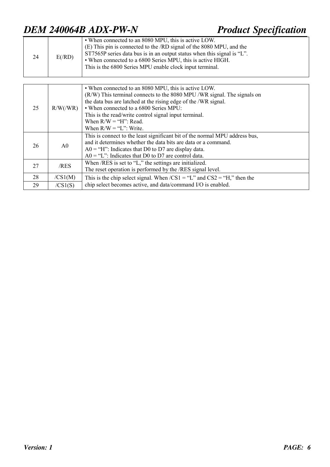| 24 | $E$ (/RD) | • When connected to an 8080 MPU, this is active LOW.<br>(E) This pin is connected to the /RD signal of the 8080 MPU, and the<br>ST7565P series data bus is in an output status when this signal is "L".<br>• When connected to a 6800 Series MPU, this is active HIGH.<br>This is the 6800 Series MPU enable clock input terminal. |
|----|-----------|------------------------------------------------------------------------------------------------------------------------------------------------------------------------------------------------------------------------------------------------------------------------------------------------------------------------------------|

| 25 | R/W/(WR)       | • When connected to an 8080 MPU, this is active LOW.<br>(R/W) This terminal connects to the 8080 MPU /WR signal. The signals on<br>the data bus are latched at the rising edge of the /WR signal.<br>• When connected to a 6800 Series MPU:<br>This is the read/write control signal input terminal.<br>When $R/W = "H"$ : Read.<br>When $R/W = "L"$ : Write. |
|----|----------------|---------------------------------------------------------------------------------------------------------------------------------------------------------------------------------------------------------------------------------------------------------------------------------------------------------------------------------------------------------------|
| 26 | A <sub>0</sub> | This is connect to the least significant bit of the normal MPU address bus,<br>and it determines whether the data bits are data or a command.<br>$A0 = H''$ : Indicates that D0 to D7 are display data.<br>$A0 = "L"$ : Indicates that D0 to D7 are control data.                                                                                             |
| 27 | /RES           | When /RES is set to "L," the settings are initialized.<br>The reset operation is performed by the /RES signal level.                                                                                                                                                                                                                                          |
| 28 | /CS1(M)        | This is the chip select signal. When $/CS1 = "L"$ and $CS2 = "H,"$ then the                                                                                                                                                                                                                                                                                   |
| 29 | /CS1(S)        | chip select becomes active, and data/command I/O is enabled.                                                                                                                                                                                                                                                                                                  |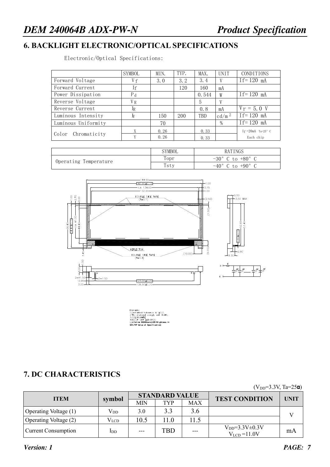#### **6. BACKLIGHT ELECTRONIC/OPTICAL SPECIFICATIONS**

Electronic/Optical Specifications:

|                     | SYMBOL         | MIN. | TYP. | MAX.  | <b>UNIT</b>     | <b>CONDITIONS</b>   |
|---------------------|----------------|------|------|-------|-----------------|---------------------|
| Forward Voltage     | V f            | 3.0  | 3.2  | 3.4   |                 | $If=120$ mA         |
| Forward Current     | Ιf             |      | 120  | 160   | mA              |                     |
| Power Dissipation   | $P_d$          |      |      | 0.544 | W               | $If=120$ mA         |
| Reverse Voltage     | V <sub>R</sub> |      |      | 5     | V               |                     |
| Reverse Current     | Ir             |      |      | 0.8   | mA              | $V_r = 5.0 V$       |
| Luminous Intensity  | Г              | 150  | 200  | TBD   | $\text{cd/m}^2$ | $If = 120$ mA       |
| Luminous Uniformity |                | 70   |      |       | $\frac{0}{0}$   | $If=120$ mA         |
|                     |                | 0.26 |      | 0.33  |                 | If $=20mA$ Ta=25° C |
| Color Chromaticity  |                | 0.26 |      | 0.33  |                 | Each chip           |

|                       | SYMBOL | RATINGS                            |
|-----------------------|--------|------------------------------------|
|                       | Topr   | $-30^{\circ}$ C to $+80^{\circ}$ C |
| Operating Temperature | Tsty   | $-40^{\circ}$ C to $+90^{\circ}$ C |



LED:8PCS **Li f et i me 50000hours( LED Bri ghtness >= 50%TYP Val ue of Speci f i cat i on)**

#### **7. DC CHARACTERISTICS**

| $1.111$ $-1.01$            |               |       |                       |            |                                              |             |  |
|----------------------------|---------------|-------|-----------------------|------------|----------------------------------------------|-------------|--|
| <b>ITEM</b>                | symbol        |       | <b>STANDARD VALUE</b> |            | <b>TEST CONDITION</b>                        | <b>UNIT</b> |  |
|                            |               | MIN   | <b>TYP</b>            | <b>MAX</b> |                                              |             |  |
| Operating Voltage (1)      | $V_{DD}$      | 3.0   | 3.3                   | 3.6        |                                              |             |  |
| Operating Voltage (2)      | $\rm V_{LCD}$ | 10.5  | 11 0                  | 11.5       |                                              |             |  |
| <b>Current Consumption</b> | IDD           | $---$ | <b>TBD</b>            | $---$      | $V_{DD} = 3.3 V \pm 0.3 V$<br>$VLCD = 11.0V$ | mA          |  |

 $(V_{\text{DD}}=3.3V, T_{\text{B}}=25\text{m})$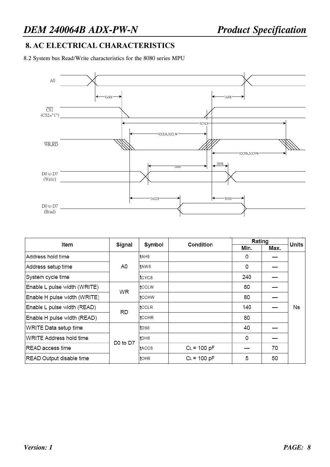#### **8. AC ELECTRICAL CHARACTERISTICS**

8.2 System bus Read/Write characteristics for the 8080 series MPU



| Item                         | Signal                           | Symbol           | Condition     | Rating |      | Units |
|------------------------------|----------------------------------|------------------|---------------|--------|------|-------|
|                              |                                  |                  |               | Min.   | Max. |       |
| Address hold time            |                                  | tAH8             |               | 0      |      |       |
| Address setup time           | A0                               | tAW8             |               | 0      |      |       |
| System cycle time            |                                  | ltcycs.          |               | 240    |      |       |
| Enable L pulse width (WRITE) | <b>WR</b>                        | tcclw            |               | 80     |      |       |
| Enable H pulse width (WRITE) |                                  | tсснw            |               | 80     |      |       |
| Enable L pulse width (READ)  | RD                               | tCCLR            |               | 140    |      | Ns    |
| Enable H pulse width (READ)  |                                  | tcchr            |               | 80     |      |       |
| WRITE Data setup time        |                                  | ltDS8            |               | 40     |      |       |
| WRITE Address hold time      | D <sub>0</sub> to D <sub>7</sub> | t <sub>DH8</sub> |               | 0      |      |       |
| READ access time             |                                  | tACC8            | $CL = 100 pF$ |        | 70   |       |
| READ Output disable time     |                                  | $toH8$           | $CL = 100 pF$ | 5      | 50   |       |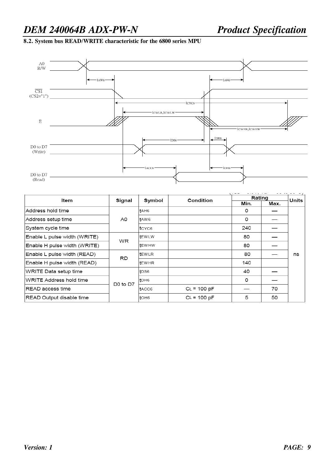#### **8.2. System bus READ/WRITE characteristic for the 6800 series MPU**



| Item                         | Signal    | Symbol       | Condition     | Rating |      | Units |
|------------------------------|-----------|--------------|---------------|--------|------|-------|
|                              |           |              |               | Min.   | Max. |       |
| Address hold time            |           | tAH6         |               | 0      |      |       |
| Address setup time           | A0        | tAW6         |               | 0      |      |       |
| System cycle time            |           | tcyc6        |               | 240    |      |       |
| Enable L pulse width (WRITE) | WR        | <b>tEWLW</b> |               | 80     |      |       |
| Enable H pulse width (WRITE) |           | <b>tEWHW</b> |               | 80     |      |       |
| Enable L pulse width (READ)  | <b>RD</b> | ItEWLR       |               | 80     |      | ns    |
| Enable H pulse width (READ)  |           | <b>tEWHR</b> |               | 140    |      |       |
| WRITE Data setup time        |           | $t$ DS6      |               | 40     |      |       |
| WRITE Address hold time      | D0 to D7  | tDH6         |               | 0      |      |       |
| READ access time             |           | tACC6        | $CL = 100 pF$ |        | 70   |       |
| READ Output disable time     |           | toh6         | $CL = 100 pF$ | 5      | 50   |       |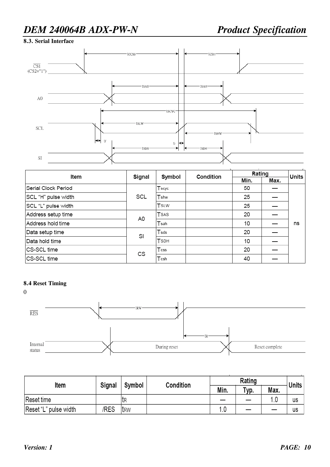#### **8.3. Serial Interface**



| ltem                | Signal | Symbol           | Condition | Rating | Units |    |
|---------------------|--------|------------------|-----------|--------|-------|----|
|                     |        |                  |           | Min.   | Max.  |    |
| Serial Clock Period | SCL    | Tscyc            |           | 50     |       |    |
| SCL "H" pulse width |        | Tshw             |           | 25     |       |    |
| SCL "L" pulse width |        | TSLW             |           | 25     |       |    |
| Address setup time  | A0     | TSAS             |           | 20     |       |    |
| Address hold time   |        | Tsah             |           | 10     |       | ns |
| Data setup time     | SI     | $\mathsf{T}$ sds |           | 20     |       |    |
| Data hold time      |        | <b>TSDH</b>      |           | 10     |       |    |
| CS-SCL time         | СS     | $T$ css          |           | 20     |       |    |
| CS-SCL time         |        | Tcsh             |           | 40     |       |    |

#### **8.4 Reset Timing**



| Item                  | <b>Signal</b> | Symbol | <b>Condition</b> |      | Units        |      |    |
|-----------------------|---------------|--------|------------------|------|--------------|------|----|
|                       |               |        |                  | Min. | $\tau_{VD.}$ | Max. |    |
| Reset time            |               | 'tr    |                  |      |              | 1.0  | us |
| Reset "L" pulse width | /RES          | 'trw   |                  |      |              |      | us |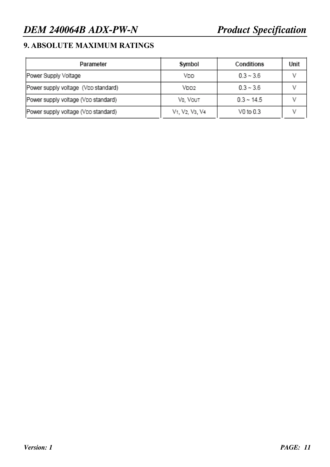#### **9. ABSOLUTE MAXIMUM RATINGS**

| Parameter                           | Symbol                                                            | Conditions      | Unit |
|-------------------------------------|-------------------------------------------------------------------|-----------------|------|
| Power Supply Voltage                | Vdd                                                               | $0.3 - 3.6$     |      |
| Power supply voltage (VDD standard) | VDD2                                                              | $0.3 - 3.6$     |      |
| Power supply voltage (VDD standard) | VO, VOUT                                                          | $0.3 \sim 14.5$ |      |
| Power supply voltage (VDD standard) | V <sub>1</sub> , V <sub>2</sub> , V <sub>3</sub> , V <sub>4</sub> | V0 to 0.3       |      |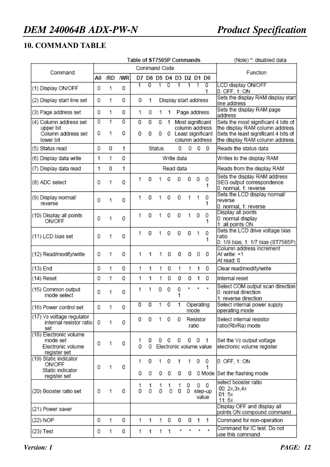#### **10. COMMAND TABLE**

|                                                                         |        |        |        | Table of ST7565P Commands |                         |           |                |            |         |                       |                                                                             | (Note) *: disabled data                                                                                                                           |
|-------------------------------------------------------------------------|--------|--------|--------|---------------------------|-------------------------|-----------|----------------|------------|---------|-----------------------|-----------------------------------------------------------------------------|---------------------------------------------------------------------------------------------------------------------------------------------------|
| Command                                                                 |        |        |        | Command Code              |                         |           |                | Function   |         |                       |                                                                             |                                                                                                                                                   |
|                                                                         | A0     | /RD    | /WR    |                           | D7 D6 D5 D4 D3 D2 D1 D0 |           |                |            |         |                       |                                                                             |                                                                                                                                                   |
| (1) Display ON/OFF                                                      | 0      | 1      | 0      | $\overline{1}$            | 0                       | 1         | $\overline{0}$ | 1          | 1       | 1                     | $\overline{0}$<br>1                                                         | LCD display ON/OFF<br>0: OFF, 1: ON                                                                                                               |
| (2) Display start line set                                              | 0      | 1      | 0      | 0                         | 1                       |           |                |            |         | Display start address |                                                                             | Sets the display RAM display start<br>line address                                                                                                |
| (3) Page address set                                                    | 0      | 1      | 0      | 1                         | 0                       | 1         | 1              |            |         | Page address          |                                                                             | Sets the display RAM page<br>address                                                                                                              |
| (4) Column address set<br>upper bit<br>Column address set<br>lower bit  | 0<br>0 | 1<br>1 | 0<br>0 | 0<br>0                    | 0<br>0                  | 0<br>0    | 1              |            |         |                       | Most significant<br>column address<br>0 Least significant<br>column address | Sets the most significant 4 bits of<br>the display RAM column address.<br>Sets the least significant 4 bits of<br>the display RAM column address. |
| (5) Status read                                                         | 0      | 0      | 1      |                           |                         | Status    |                | 0          | 0       |                       | $0\quad 0$                                                                  | Reads the status data                                                                                                                             |
| (6) Display data write                                                  | 1      | 1      | 0      |                           |                         |           |                | Write data |         |                       |                                                                             | Writes to the display RAM                                                                                                                         |
| (7) Display data read                                                   | 1      | 0      | 1      |                           |                         |           |                | Read data  |         |                       |                                                                             | Reads from the display RAM                                                                                                                        |
| (8) ADC select                                                          | 0      | 1      | 0      | 1                         | 0                       | 1         | 0              | 0          | 0       | 0                     | 0<br>1                                                                      | Sets the display RAM address<br>SEG output correspondence<br>0: normal, 1: reverse                                                                |
| (9) Display normal/<br>reverse                                          | 0      | 1      | 0      | 1                         | 0                       | 1         | 0              | 0          | 1       | 1                     | 0<br>1                                                                      | Sets the LCD display normal/<br>reverse<br>0: normal, 1: reverse                                                                                  |
| (10) Display all points<br><b>ON/OFF</b>                                | 0      | 1      | 0      | 1                         | 0                       | 1         | 0              | 0          | 1       | 0                     | 0<br>1                                                                      | Display all points<br>0: normal display<br>1: all points ON                                                                                       |
| (11) LCD bias set                                                       | 0      | 1      | 0      | 1                         | 0                       | 1         | 0              | 0          | 0       | 1                     | 0<br>1                                                                      | Sets the LCD drive voltage bias<br>ratio<br>0: 1/9 bias, 1: 1/7 bias (ST7565P)                                                                    |
| (12) Read/modify/write                                                  | 0      | 1      | 0      | 1                         | 1                       |           | 0              | 0          | 0       | 0                     | 0                                                                           | Column address increment<br>At write: +1<br>At read: 0                                                                                            |
| (13) End                                                                | 0      | 1      | 0      | 1                         | 1                       | 1         | 0              | 1          | 1       | 1                     | 0                                                                           | Clear read/modify/write                                                                                                                           |
| (14) Reset                                                              | 0      | 1      | 0      | 1                         | 1                       | 1.        | 0              | 0          | 0       | 1                     | 0                                                                           | Internal reset                                                                                                                                    |
| (15) Common output<br>mode select                                       | 0      | 1      | 0      | 1                         | 1                       | 0         | 0              | 0<br>1     | $\star$ | $\star$               | $\star$                                                                     | Select COM output scan direction<br>0: normal direction<br>1: reverse direction                                                                   |
| (16) Power control set                                                  | 0      | 1      | 0      | $\overline{0}$            | 0                       | $\hat{1}$ | 0              | 1          |         | Operating<br>mode     |                                                                             | Select internal power supply<br>operating mode                                                                                                    |
| (17) Vo voltage regulator<br>internal resistor ratio<br>set             | 0      | 1      | 0      | 0                         | 0                       | 1.        | 0              | 0          |         | Resistor<br>ratio     |                                                                             | Select internal resistor<br>ratio(Rb/Ra) mode                                                                                                     |
| (18) Electronic volume<br>mode set<br>Electronic volume<br>register set | 0      | 1      | 0      | 1<br>$\Omega$             | 0<br>0                  | 0         | 0              | 0          | 0       | - 0                   | $\overline{1}$<br>Electronic volume value                                   | Set the Vo output voltage<br>electronic volume register                                                                                           |
| (19) Static indicator<br><b>ON/OFF</b><br>Static indicator              | 0      | 1      | 0      | 1<br>0                    | 0<br>0                  | 1.<br>0   | 0<br>0         | 1<br>0     | 1<br>0  | 0                     | 0<br>1                                                                      | 0: OFF, 1: ON<br>0 Mode Set the flashing mode                                                                                                     |
| register set                                                            |        |        |        |                           |                         |           |                |            |         |                       |                                                                             | select booster ratio                                                                                                                              |
| (20) Booster ratio set                                                  | 0      | 1      | 0      | 1<br>0                    | 1<br>0                  | 1<br>0    | 1<br>0         | 1<br>0     | 0<br>0  |                       | $0\quad 0$<br>step-up<br>value                                              | 00: 2x, 3x, 4x<br>01:5x<br>11:6x                                                                                                                  |
| (21) Power saver                                                        |        |        |        |                           |                         |           |                |            |         |                       |                                                                             | Display OFF and display all<br>points ON compound command                                                                                         |
| (22) NOP                                                                | 0      | 1      | 0      | 1                         | 1                       | 1.        | 0              | 0          | 0       | 1                     | 1                                                                           | Command for non-operation                                                                                                                         |
| (23) Test                                                               | 0      | 1      | 0      | 1                         | 1                       | 1.        | 1              | ż          |         | ×                     | $\star$                                                                     | Command for IC test. Do not<br>use this command                                                                                                   |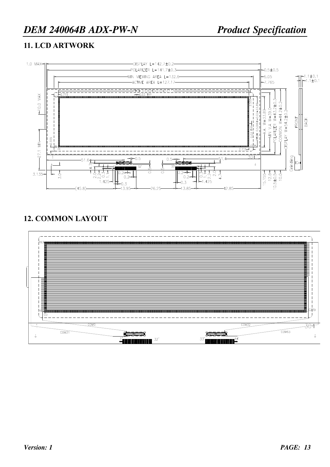#### **11. LCD ARTWORK**



#### **12. COMMON LAYOUT**

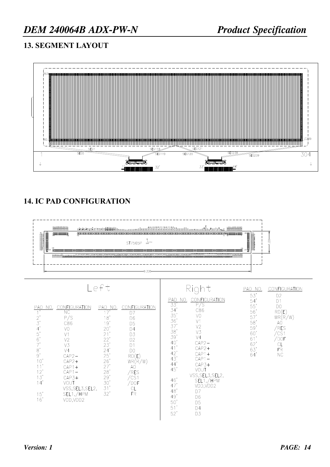#### **13. SEGMENT LAYOUT**



#### **14. IC PAD CONFIGURATION**



Right

PAD NO.

53, 54, 556, 556, 59, 59,

 $\begin{matrix} 60 \\ 61 \\ 62 \end{matrix}$ 

 $63,64$ 

CONFIGURATION

DO<br>
RD(E)<br>
WR(R/W)<br>
AO<br>
AO<br>
AO<br>
CS1<br>
COST<br>
CL<br>
FR<br>
NC<br>
NC

 $D2$ <br> $D1$ 

D<sub>0</sub>

$$
\mathsf{L} \, \mathsf{e} \, \mathsf{f} \, \mathsf{t}
$$

| <b>CONFIGURATION</b><br><b>PAD</b><br>NO.<br>ΝC<br>P/S<br>$\frac{2}{3}$<br>C86<br>$\overline{4}$<br>V <sub>0</sub><br>$\frac{5}{6}$<br>V1<br>V <sub>2</sub><br>7'<br>V3<br>8'<br>V <sub>4</sub><br>9'<br>$CAP2-$<br>10'<br>$CAP2+$<br>$CAP1+$<br>12'<br>$CAP1-$<br>13'<br>$CAP3+$<br>14'<br><b>VOUT</b><br>VSS, SEL3, SEL2,<br>SEL1,/HPM<br>15'<br>16'<br>VDD, VDD2 | PAD NO.<br>$\overline{17}$<br>18'<br>19'<br>20'<br>21'<br>22'<br>23'<br>24'<br>25'<br>26'<br>27'<br>28'<br>29'<br>30'<br>31'<br>32' | CONFIGURATION<br>D7<br>D <sub>6</sub><br>D <sub>5</sub><br>D4<br>D <sub>3</sub><br>D <sub>2</sub><br>D <sub>1</sub><br>D <sub>0</sub><br>RD(E)<br>WR(R/W)<br>A0<br>/RES<br>/CS1<br>'dof<br>СL<br><b>FR</b> | PAD<br>NO.<br>33'<br>34'<br>35'<br>36'<br>37'<br>38'<br>39'<br>40'<br>41'<br>42'<br>43'<br>44'<br>45'<br>46'<br>47'<br>48'<br>49'<br>50'<br>51'<br>52' | CONFIGURATION<br>P/S<br>C86<br>V0<br>V <sub>1</sub><br>V <sub>2</sub><br>V3<br>V <sub>4</sub><br>$CAP2-$<br>$CAP2+$<br>$CAP1+$<br>$CAP1-$<br>$CAP3+$<br>VOUT<br>VSS, SEL3, SEL2,<br>SEL1,/HPM<br>VDD, VDD2<br>D7<br>D6<br>D <sub>5</sub><br>D4<br>D <sub>3</sub> |
|---------------------------------------------------------------------------------------------------------------------------------------------------------------------------------------------------------------------------------------------------------------------------------------------------------------------------------------------------------------------|-------------------------------------------------------------------------------------------------------------------------------------|------------------------------------------------------------------------------------------------------------------------------------------------------------------------------------------------------------|--------------------------------------------------------------------------------------------------------------------------------------------------------|------------------------------------------------------------------------------------------------------------------------------------------------------------------------------------------------------------------------------------------------------------------|
|---------------------------------------------------------------------------------------------------------------------------------------------------------------------------------------------------------------------------------------------------------------------------------------------------------------------------------------------------------------------|-------------------------------------------------------------------------------------------------------------------------------------|------------------------------------------------------------------------------------------------------------------------------------------------------------------------------------------------------------|--------------------------------------------------------------------------------------------------------------------------------------------------------|------------------------------------------------------------------------------------------------------------------------------------------------------------------------------------------------------------------------------------------------------------------|

| <b>Version: 1</b> |  |
|-------------------|--|
|                   |  |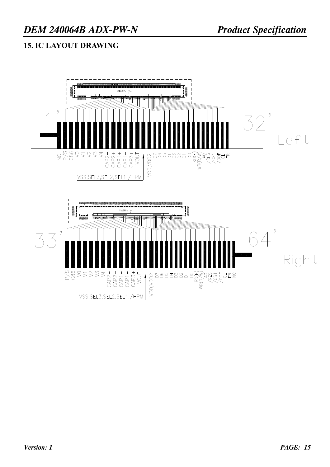#### **15. IC LAYOUT DRAWING**

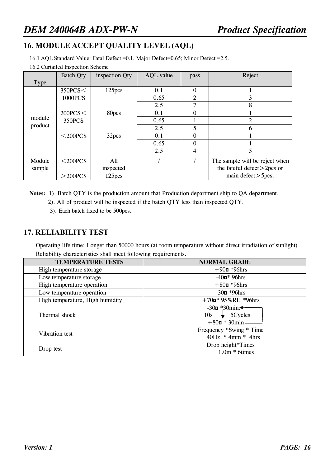#### **16. MODULE ACCEPT QUALITY LEVEL (AQL)**

16.1 AQL Standard Value: Fatal Defect =0.1, Major Defect=0.65; Minor Defect =2.5.

16.2 Curtailed Inspection Scheme

|             | <b>Batch Qty</b> | inspection Qty     | AQL value | pass           | Reject                         |
|-------------|------------------|--------------------|-----------|----------------|--------------------------------|
| <b>Type</b> |                  |                    |           |                |                                |
|             | 350PCS<          | 125 <sub>pcs</sub> | 0.1       | $\Omega$       |                                |
|             | 1000PCS          |                    | 0.65      | $\overline{2}$ | 3                              |
|             |                  |                    | 2.5       | 7              | 8                              |
|             | 200PCS<          | 80pcs              | 0.1       | $\overline{0}$ |                                |
| module      | 350PCS           |                    | 0.65      |                |                                |
| product     |                  |                    | 2.5       | 5              | 6                              |
|             | $<$ 200PCS       | 32pcs              | 0.1       | $\Omega$       |                                |
|             |                  |                    | 0.65      | 0              |                                |
|             |                  |                    | 2.5       | 4              | 5                              |
| Module      | $<$ 200PCS       | All                |           |                | The sample will be reject when |
| sample      |                  | inspected          |           |                | the fateful defect $>$ 2pcs or |
|             | $>$ 200PCS       | 125 <sub>pcs</sub> |           |                | main defect $>$ 5 pcs.         |

**Notes:** 1). Batch QTY is the production amount that Production department ship to QA department.

- 2). All of product will be inspected if the batch QTY less than inspected QTY.
	- 3). Each batch fixed to be 500pcs.

#### **17. RELIABILITY TEST**

Operating life time: Longer than 50000 hours (at room temperature without direct irradiation of sunlight) Reliability characteristics shall meet following requirements.

| <b>TEMPERATURE TESTS</b>        | <b>NORMAL GRADE</b>                                                                              |
|---------------------------------|--------------------------------------------------------------------------------------------------|
| High temperature storage        | $+90$ <b>n</b> *96hrs                                                                            |
| Low temperature storage         | $-40n*96$ hrs                                                                                    |
| High temperature operation      | $+80$ <sup>*96</sup> hrs                                                                         |
| Low temperature operation       | $-30n * 96hrs$                                                                                   |
| High temperature, High humidity | $+70$ $\mu$ * 95%RH *96hrs                                                                       |
| Thermal shock                   | $-30n * 30min$<br>$\downarrow$ 5 Cycles<br>10 <sub>s</sub><br>$+80\blacksquare * 30\text{min}$ . |
| Vibration test                  | Frequency *Swing * Time<br>$40Hz$ * 4mm * 4hrs                                                   |
| Drop test                       | Drop height*Times<br>$1.0m * 6 \times$                                                           |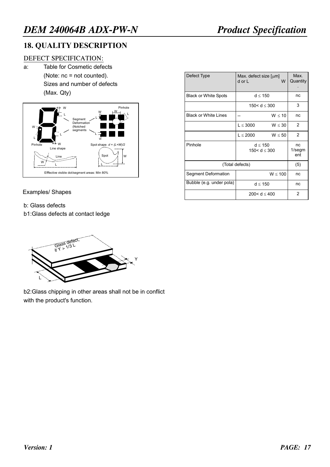#### **18. QUALITY DESCRIPTION**

#### DEFECT SPECIFICATION:

a: Table for Cosmetic defects (Note: nc = not counted). Sizes and number of defects (Max. Qty)



#### Examples/ Shapes

- b: Glass defects
- b1:Glass defects at contact ledge



b2:Glass chipping in other areas shall not be in conflict with the product's function.

| Defect Type                 | Max. defect size $\lceil \mu m \rceil$<br>W<br>d or L | Max.<br>Quantity       |
|-----------------------------|-------------------------------------------------------|------------------------|
| <b>Black or White Spots</b> | d < 150                                               | nc                     |
|                             | 150 < $d < 300$                                       | 3                      |
| <b>Black or White Lines</b> | W < 10                                                | nc                     |
|                             | $L \leq 3000$<br>$W \leq 30$                          | $\mathcal{P}$          |
|                             | $L \leq 2000$<br>$W \leq 50$                          | 2                      |
| Pinhole                     | $d \leq 150$<br>150 < d < 300                         | nc<br>$1$ /segm<br>ent |
|                             | (Total defects)                                       | (5)                    |
| Segment Deformation         | W < 100                                               | nc                     |
| Bubble (e.g. under pola)    | $d \leq 150$                                          | nc                     |
|                             | 200< $d < 400$                                        | $\mathcal{P}$          |